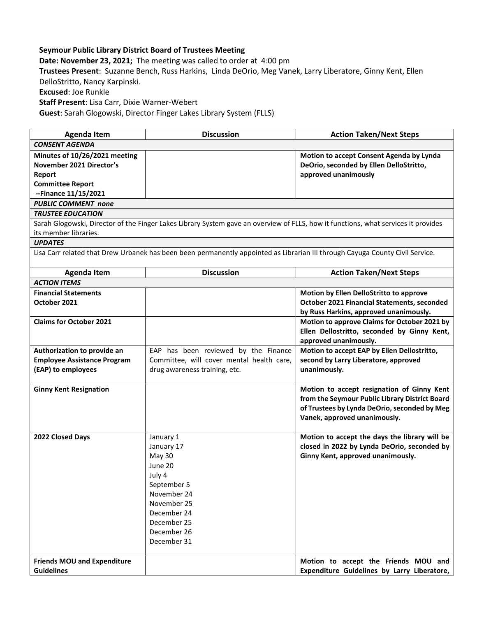## **Seymour Public Library District Board of Trustees Meeting**

**Date: November 23, 2021;** The meeting was called to order at 4:00 pm

**Trustees Present**: Suzanne Bench, Russ Harkins, Linda DeOrio, Meg Vanek, Larry Liberatore, Ginny Kent, Ellen DelloStritto, Nancy Karpinski.

**Excused**: Joe Runkle

**Staff Present**: Lisa Carr, Dixie Warner-Webert

**Guest**: Sarah Glogowski, Director Finger Lakes Library System (FLLS)

| <b>Agenda Item</b>                                                                                                                 | <b>Discussion</b>                                                                                                                                                      | <b>Action Taken/Next Steps</b>                                                                                                                                               |  |
|------------------------------------------------------------------------------------------------------------------------------------|------------------------------------------------------------------------------------------------------------------------------------------------------------------------|------------------------------------------------------------------------------------------------------------------------------------------------------------------------------|--|
| <b>CONSENT AGENDA</b>                                                                                                              |                                                                                                                                                                        |                                                                                                                                                                              |  |
| Minutes of 10/26/2021 meeting<br>November 2021 Director's<br>Report<br><b>Committee Report</b>                                     |                                                                                                                                                                        | Motion to accept Consent Agenda by Lynda<br>DeOrio, seconded by Ellen DelloStritto,<br>approved unanimously                                                                  |  |
| --Finance 11/15/2021                                                                                                               |                                                                                                                                                                        |                                                                                                                                                                              |  |
| <b>PUBLIC COMMENT none</b>                                                                                                         |                                                                                                                                                                        |                                                                                                                                                                              |  |
| <b>TRUSTEE EDUCATION</b>                                                                                                           |                                                                                                                                                                        |                                                                                                                                                                              |  |
| Sarah Glogowski, Director of the Finger Lakes Library System gave an overview of FLLS, how it functions, what services it provides |                                                                                                                                                                        |                                                                                                                                                                              |  |
| its member libraries.                                                                                                              |                                                                                                                                                                        |                                                                                                                                                                              |  |
| <b>UPDATES</b>                                                                                                                     |                                                                                                                                                                        |                                                                                                                                                                              |  |
| Lisa Carr related that Drew Urbanek has been been permanently appointed as Librarian III through Cayuga County Civil Service.      |                                                                                                                                                                        |                                                                                                                                                                              |  |
| <b>Agenda Item</b>                                                                                                                 | <b>Discussion</b>                                                                                                                                                      | <b>Action Taken/Next Steps</b>                                                                                                                                               |  |
| <b>ACTION ITEMS</b>                                                                                                                |                                                                                                                                                                        |                                                                                                                                                                              |  |
| <b>Financial Statements</b>                                                                                                        |                                                                                                                                                                        | Motion by Ellen DelloStritto to approve                                                                                                                                      |  |
| October 2021                                                                                                                       |                                                                                                                                                                        | <b>October 2021 Financial Statements, seconded</b><br>by Russ Harkins, approved unanimously.                                                                                 |  |
| <b>Claims for October 2021</b>                                                                                                     |                                                                                                                                                                        | Motion to approve Claims for October 2021 by<br>Ellen Dellostritto, seconded by Ginny Kent,<br>approved unanimously.                                                         |  |
| Authorization to provide an                                                                                                        | EAP has been reviewed by the Finance<br>Committee, will cover mental health care,                                                                                      | Motion to accept EAP by Ellen Dellostritto,<br>second by Larry Liberatore, approved                                                                                          |  |
| <b>Employee Assistance Program</b><br>(EAP) to employees                                                                           | drug awareness training, etc.                                                                                                                                          | unanimously.                                                                                                                                                                 |  |
| <b>Ginny Kent Resignation</b>                                                                                                      |                                                                                                                                                                        | Motion to accept resignation of Ginny Kent<br>from the Seymour Public Library District Board<br>of Trustees by Lynda DeOrio, seconded by Meg<br>Vanek, approved unanimously. |  |
| 2022 Closed Days                                                                                                                   | January 1<br>January 17<br><b>May 30</b><br>June 20<br>July 4<br>September 5<br>November 24<br>November 25<br>December 24<br>December 25<br>December 26<br>December 31 | Motion to accept the days the library will be<br>closed in 2022 by Lynda DeOrio, seconded by<br>Ginny Kent, approved unanimously.                                            |  |
| <b>Friends MOU and Expenditure</b><br><b>Guidelines</b>                                                                            |                                                                                                                                                                        | Motion to accept the Friends MOU and<br>Expenditure Guidelines by Larry Liberatore,                                                                                          |  |